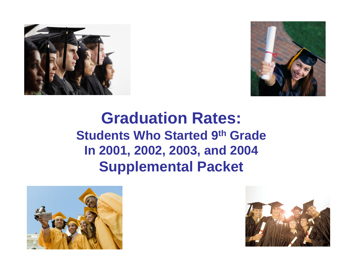



## **Graduation Rates: Students Who Started 9th Grade In 2001, 2002, 2003, and 2004 Supplemental Packet**



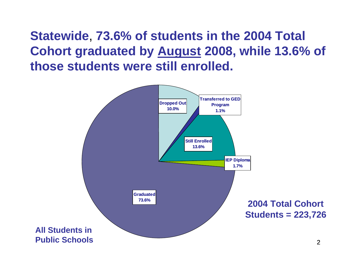**Statewide**, **73.6% of students in the 2004 Total Cohort graduated by August 2008, while 13.6% of those students were still enrolled.**

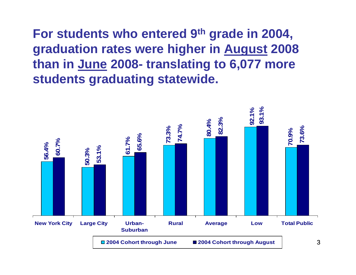**For students who entered 9th grade in 2004, graduation rates were higher in August 2008 than in June 2008- translating to 6,077 more students graduating statewide.**

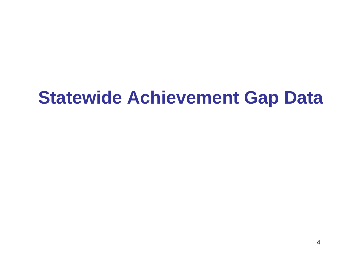# **Statewide Achievement Gap Data**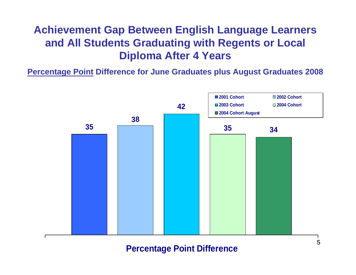### **Achievement Gap Between English Language Learners and All Students Graduating with Regents or Local Diploma After 4 Years**

**Percentage Point Difference for June Graduates plus August Graduates 2008**



### **Percentage Point Difference**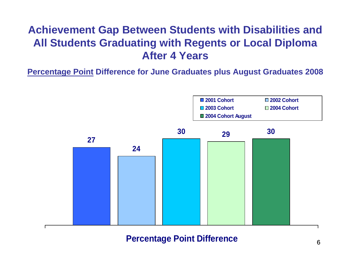### **Achievement Gap Between Students with Disabilities and All Students Graduating with Regents or Local Diploma After 4 Years**

**Percentage Point Difference for June Graduates plus August Graduates 2008**



### **Percentage Point Difference**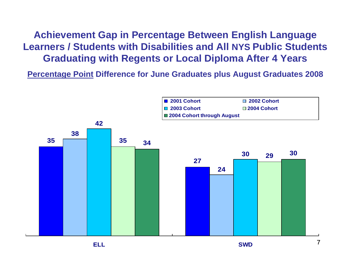**Achievement Gap in Percentage Between English Language Learners / Students with Disabilities and All NYS Public Students Graduating with Regents or Local Diploma After 4 Years** 

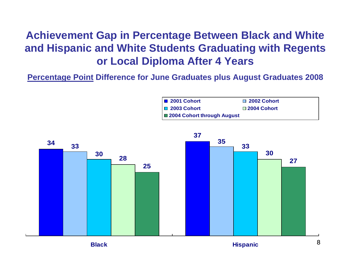### **Achievement Gap in Percentage Between Black and White and Hispanic and White Students Graduating with Regents or Local Diploma After 4 Years**



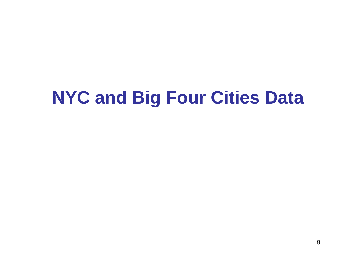# **NYC and Big Four Cities Data**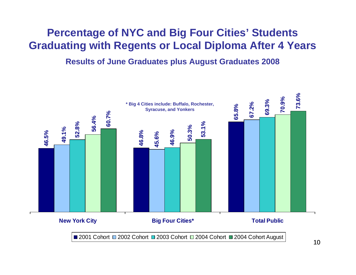### **Percentage of NYC and Big Four Cities' Students Graduating with Regents or Local Diploma After 4 Years**

#### **Results of June Graduates plus August Graduates 2008**

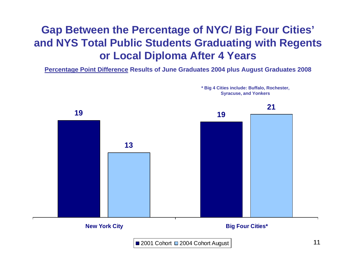### **Gap Between the Percentage of NYC/ Big Four Cities' and NYS Total Public Students Graduating with Regents or Local Diploma After 4 Years**

**Percentage Point Difference Results of June Graduates 2004 plus August Graduates 2008**



**\* Big 4 Cities include: Buffalo, Rochester, Syracuse, and Yonkers**

2001 Cohort □ 2004 Cohort August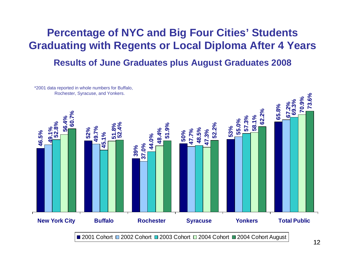### **Percentage of NYC and Big Four Cities' Students Graduating with Regents or Local Diploma After 4 Years**

**Results of June Graduates plus August Graduates 2008**



12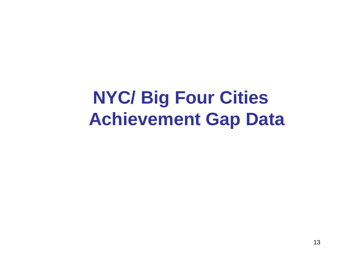**NYC/ Big Four Cities Achievement Gap Data**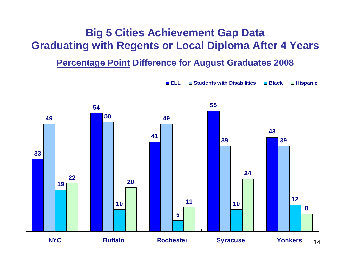### **Big 5 Cities Achievement Gap Data Graduating with Regents or Local Diploma After 4 Years**

### **Percentage Point Difference for August Graduates 2008**

**ELL**

■ Students with Disabilities ■ Black ■ Hispanic

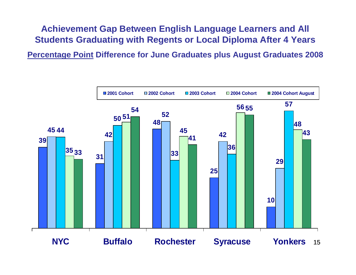### **Achievement Gap Between English Language Learners and All Students Graduating with Regents or Local Diploma After 4 Years**

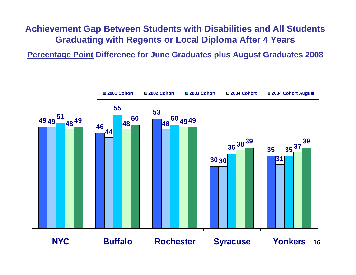### **Achievement Gap Between Students with Disabilities and All Students Graduating with Regents or Local Diploma After 4 Years**

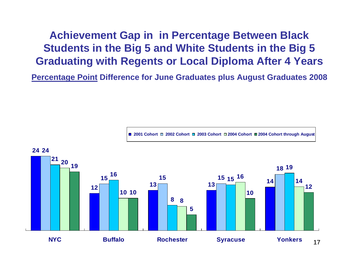**Achievement Gap in in Percentage Between Black Students in the Big 5 and White Students in the Big 5 Graduating with Regents or Local Diploma After 4 Years** 



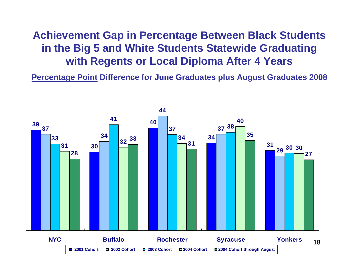### **Achievement Gap in Percentage Between Black Students in the Big 5 and White Students Statewide Graduating with Regents or Local Diploma After 4 Years**

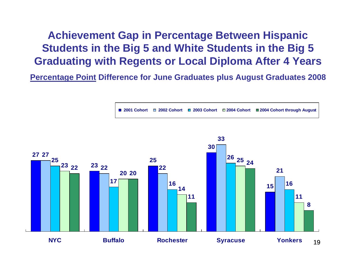**Achievement Gap in Percentage Between Hispanic Students in the Big 5 and White Students in the Big 5 Graduating with Regents or Local Diploma After 4 Years**

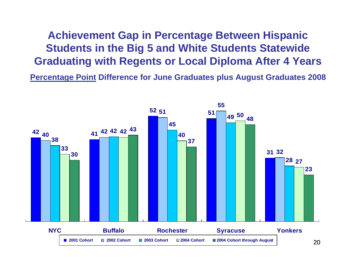**Achievement Gap in Percentage Between Hispanic Students in the Big 5 and White Students Statewide Graduating with Regents or Local Diploma After 4 Years**

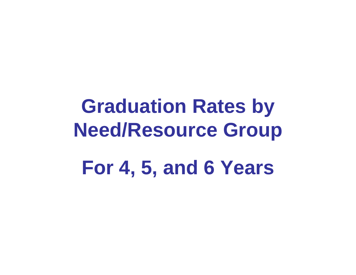# **Graduation Rates by Need/Resource Group For 4, 5, and 6 Years**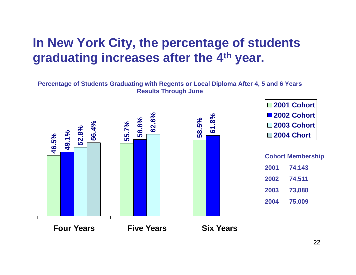### **In New York City, the percentage of students graduating increases after the 4th year.**

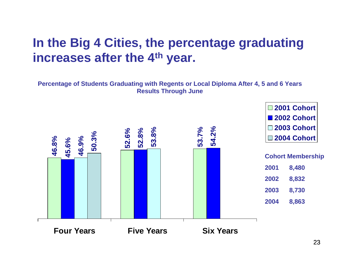### **In the Big 4 Cities, the percentage graduating increases after the 4th year.**

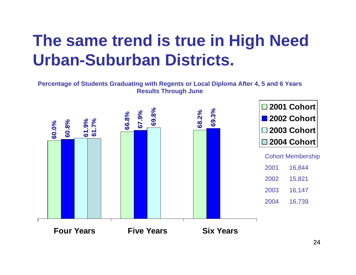## **The same trend is true in High Need Urban-Suburban Districts.**

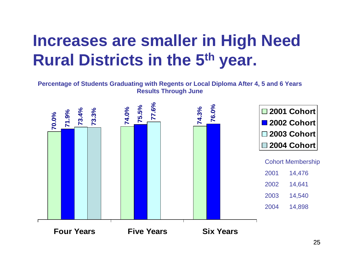## **Increases are smaller in High Need Rural Districts in the 5th year.**

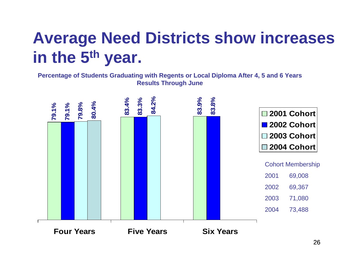# **Average Need Districts show increases in the 5th year.**

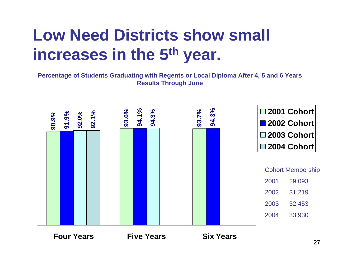# **Low Need Districts show small increases in the 5th year.**

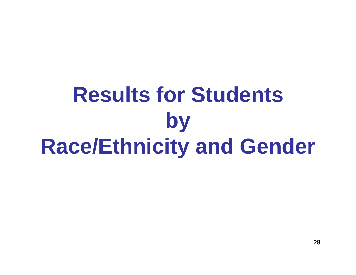# **Results for Students by Race/Ethnicity and Gender**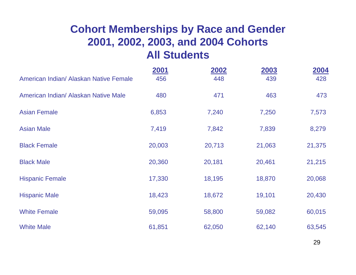### **Cohort Memberships by Race and Gender 2001, 2002, 2003, and 2004 Cohorts All Students**

|                                        | 2001   | 2002   | 2003   | 2004   |
|----------------------------------------|--------|--------|--------|--------|
| American Indian/ Alaskan Native Female | 456    | 448    | 439    | 428    |
| American Indian/ Alaskan Native Male   | 480    | 471    | 463    | 473    |
| <b>Asian Female</b>                    | 6,853  | 7,240  | 7,250  | 7,573  |
| <b>Asian Male</b>                      | 7,419  | 7,842  | 7,839  | 8,279  |
| <b>Black Female</b>                    | 20,003 | 20,713 | 21,063 | 21,375 |
| <b>Black Male</b>                      | 20,360 | 20,181 | 20,461 | 21,215 |
| <b>Hispanic Female</b>                 | 17,330 | 18,195 | 18,870 | 20,068 |
| <b>Hispanic Male</b>                   | 18,423 | 18,672 | 19,101 | 20,430 |
| <b>White Female</b>                    | 59,095 | 58,800 | 59,082 | 60,015 |
| <b>White Male</b>                      | 61,851 | 62,050 | 62,140 | 63,545 |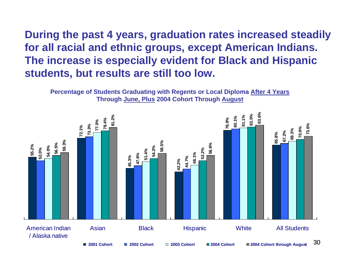**During the past 4 years, graduation rates increased steadily for all racial and ethnic groups, except American Indians. The increase is especially evident for Black and Hispanic students, but results are still too low.** 



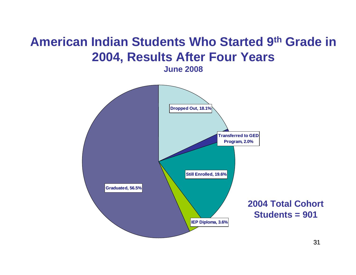## **American Indian Students Who Started 9th Grade in 2004, Results After Four Years**

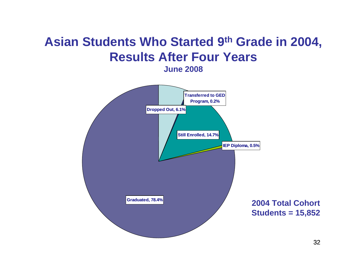## **Asian Students Who Started 9th Grade in 2004, Results After Four Years**

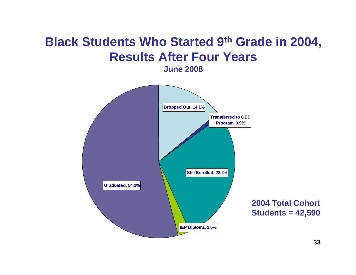## **Black Students Who Started 9th Grade in 2004, Results After Four Years**

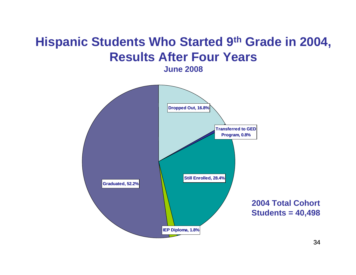## **Hispanic Students Who Started 9th Grade in 2004, Results After Four Years**

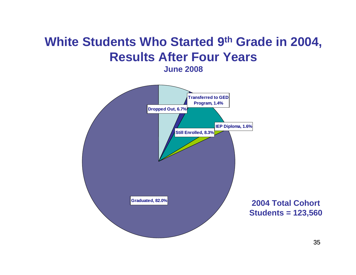## **White Students Who Started 9th Grade in 2004, Results After Four Years**

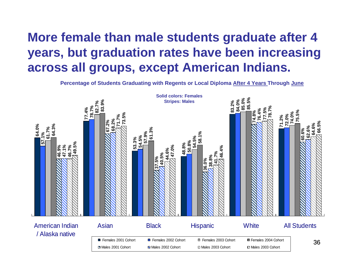### **More female than male students graduate after 4 years, but graduation rates have been increasing across all groups, except American Indians.**

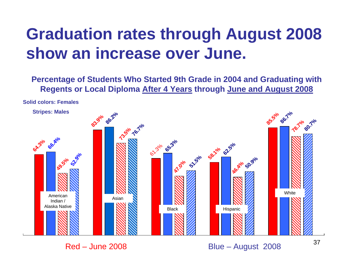# **Graduation rates through August 2008 show an increase over June.**

**Percentage of Students Who Started 9th Grade in 2004 and Graduating with Regents or Local Diploma After 4 Years through June and August 2008**

**Solid colors: Females**



Red – June 2008

Blue – August 2008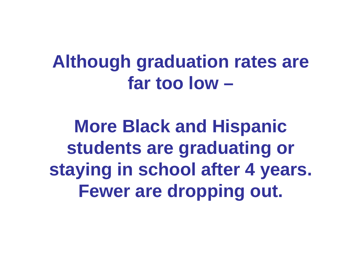# **Although graduation rates are far too low –**

**More Black and Hispanic students are graduating or staying in school after 4 years. Fewer are dropping out.**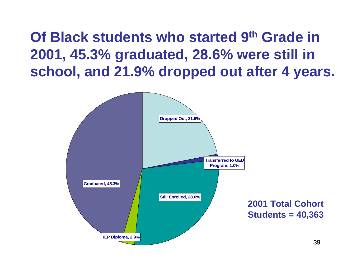**Of Black students who started 9th Grade in 2001, 45.3% graduated, 28.6% were still in school, and 21.9% dropped out after 4 years.** 

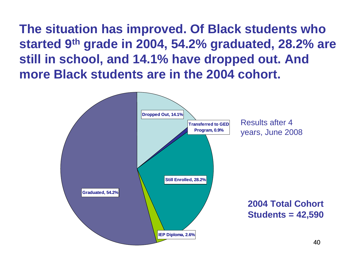**The situation has improved. Of Black students who started 9th grade in 2004, 54.2% graduated, 28.2% are still in school, and 14.1% have dropped out. And more Black students are in the 2004 cohort.**

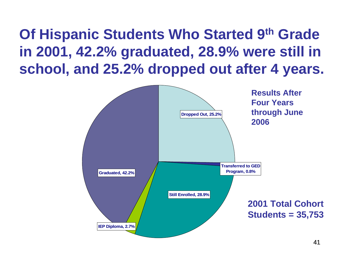**Of Hispanic Students Who Started 9th Grade in 2001, 42.2% graduated, 28.9% were still in school, and 25.2% dropped out after 4 years.**

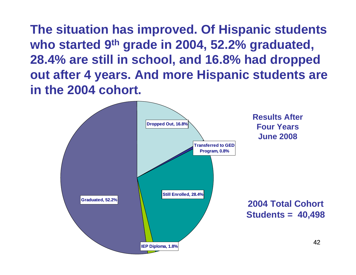**The situation has improved. Of Hispanic students who started 9th grade in 2004, 52.2% graduated, 28.4% are still in school, and 16.8% had dropped out after 4 years. And more Hispanic students are in the 2004 cohort.**

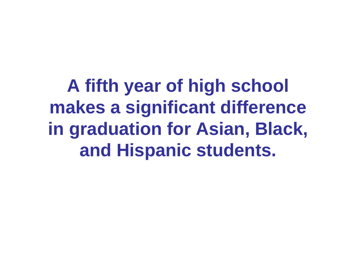**A fifth year of high school makes a significant difference in graduation for Asian, Black, and Hispanic students.**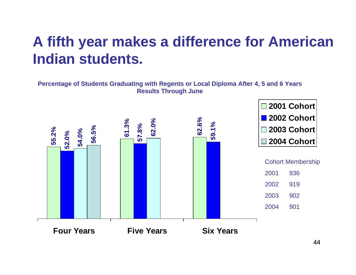## **A fifth year makes a difference for American Indian students.**

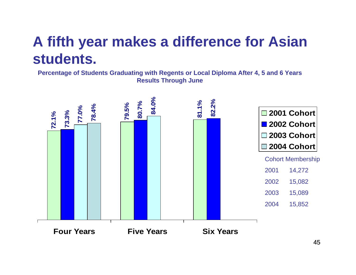## **A fifth year makes a difference for Asian students.**

**Percentage of Students Graduating with Regents or Local Diploma After 4, 5 and 6 Years Results Through June**

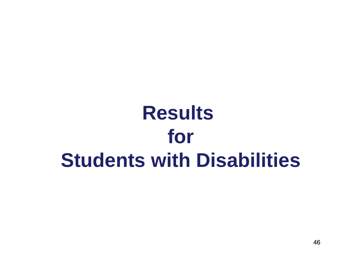# **Results for Students with Disabilities**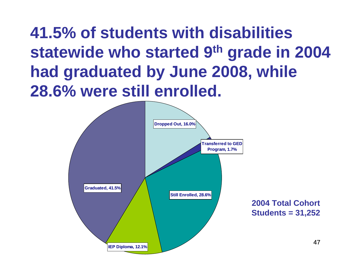# **41.5% of students with disabilities statewide who started 9th grade in 2004 had graduated by June 2008, while 28.6% were still enrolled.**

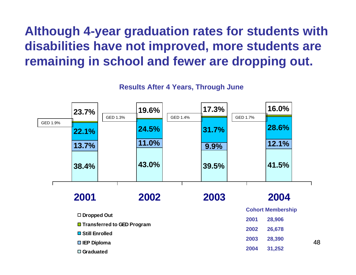## **Although 4-year graduation rates for students with disabilities have not improved, more students are remaining in school and fewer are dropping out.**

**Results After 4 Years, Through June**

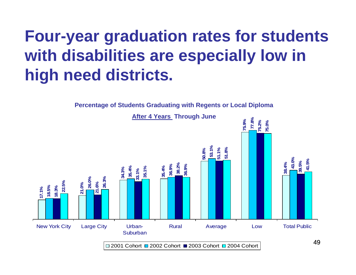# **Four-year graduation rates for students with disabilities are especially low in high need districts.**

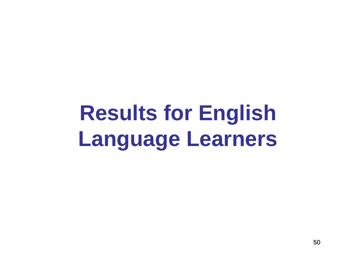# **Results for English Language Learners**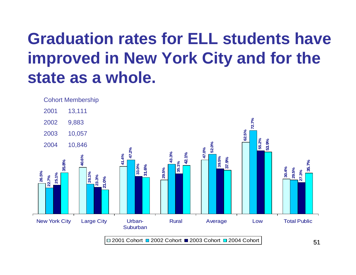# **Graduation rates for ELL students have improved in New York City and for the state as a whole.**



51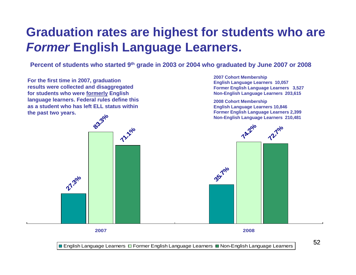## **Graduation rates are highest for students who are**  *Former* **English Language Learners.**

**Percent of students who started 9th grade in 2003 or 2004 who graduated by June 2007 or 2008**

**27.3% 35.7% 83.3% 74.2% 71.2010 72.7% For the first time in 2007, graduation results were collected and disaggregated for students who were formerly English language learners. Federal rules define this as a student who has left ELL status within the past two years. 2007 Cohort Membership English Language Learners 10,057 Former English Language Learners 3,527 Non-English Language Learners 203,615 2008 Cohort Membership English Language Learners 10,846 Former English Language Learners 2,399 Non-English Language Learners 210,481**

**2007 2008**

■ English Language Learners □ Former English Language Learners ■ Non-English Language Learners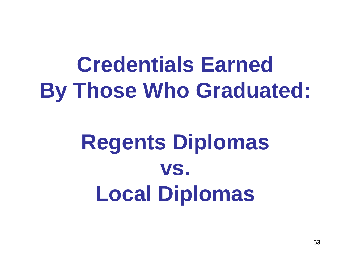# **Credentials Earned By Those Who Graduated:**

# **Regents Diplomas vs. Local Diplomas**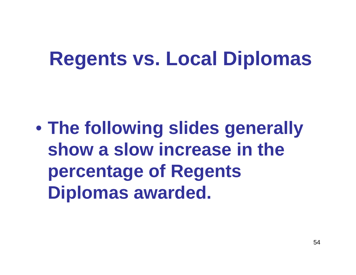# **Regents vs. Local Diplomas**

 $\bullet$  **The following slides generally show a slow increase in the percentage of Regents Diplomas awarded.**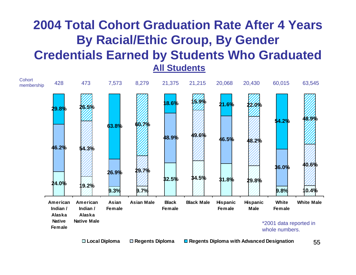## **2004 Total Cohort Graduation Rate After 4 Years By Racial/Ethic Group, By Gender Credentials Earned by Students Who Graduated**

**All Students**

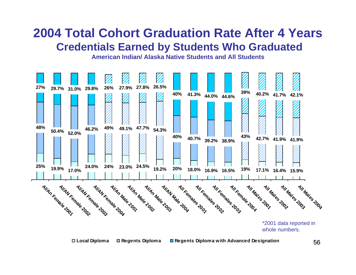

**American Indian/ Alaska Native Students and All Students**

**Local Diploma Regents Diploma Regents Diploma with Advanced Designation**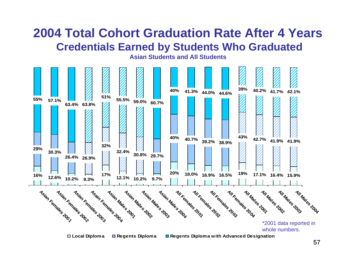**Asian Students and All Students**



57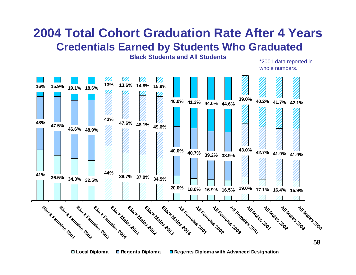**Black Students and All Students**



**Local Diploma Regents Diploma Regents Diploma with Advanced Designation**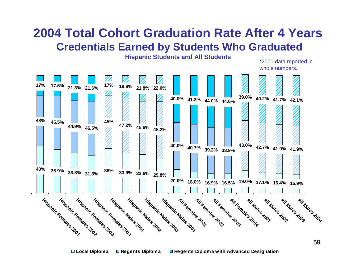**Hispanic Students and All Students**

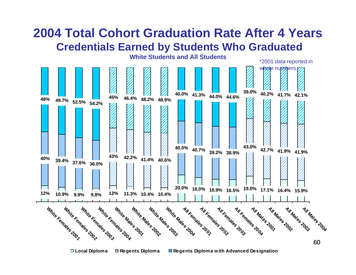

**Local Diploma Regents Diploma Regents Diploma with Advanced Designation**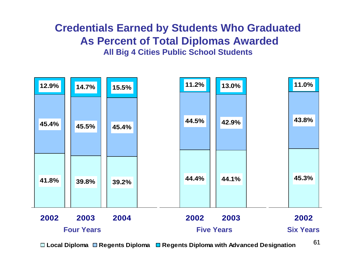#### **Credentials Earned by Students Who Graduated As Percent of Total Diplomas Awarded All Big 4 Cities Public School Students**



**Local Diploma Regents Diploma Regents Diploma with Advanced Designation**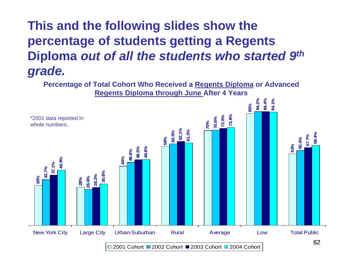## **This and the following slides show the percentage of students getting a Regents Diploma** *out of all the students who started 9th grade.*

**Percentage of Total Cohort Who Received a Regents Diploma or Advanced Regents Diploma through June After 4 Years**

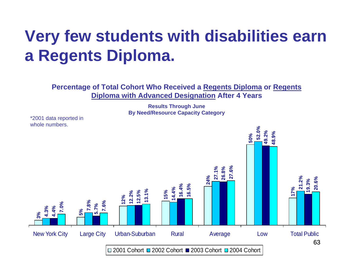# **Very few students with disabilities earn a Regents Diploma.**

**Percentage of Total Cohort Who Received a Regents Diploma or Regents Diploma with Advanced Designation After 4 Years**

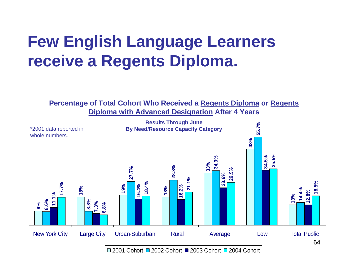# **Few English Language Learners receive a Regents Diploma.**

**Percentage of Total Cohort Who Received a Regents Diploma or Regents Diploma with Advanced Designation After 4 Years**

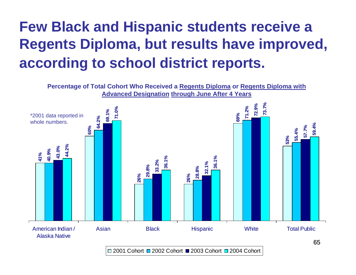# **Few Black and Hispanic students receive a Regents Diploma, but results have improved, according to school district reports.**



2001 Cohort □ 2002 Cohort ■ 2003 Cohort □ 2004 Cohort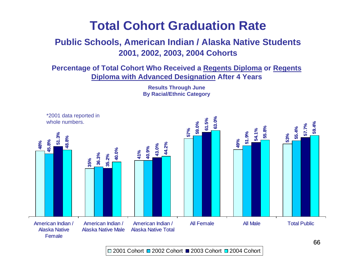#### **Public Schools, American Indian / Alaska Native Students 2001, 2002, 2003, 2004 Cohorts**

**Percentage of Total Cohort Who Received a Regents Diploma or Regents Diploma with Advanced Designation After 4 Years**



**Results Through June By Racial/Ethnic Category**

2001 Cohort □ 2002 Cohort ■ 2003 Cohort □ 2004 Cohort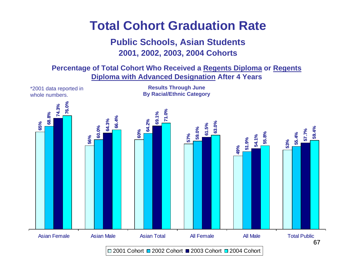#### **Public Schools, Asian Students 2001, 2002, 2003, 2004 Cohorts**

**Percentage of Total Cohort Who Received a Regents Diploma or Regents Diploma with Advanced Designation After 4 Years**

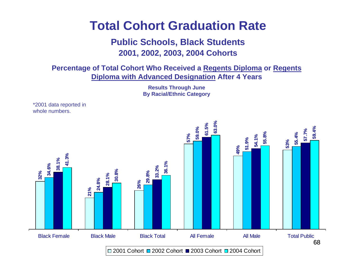#### **Public Schools, Black Students 2001, 2002, 2003, 2004 Cohorts**

**Percentage of Total Cohort Who Received a Regents Diploma or Regents Diploma with Advanced Designation After 4 Years**

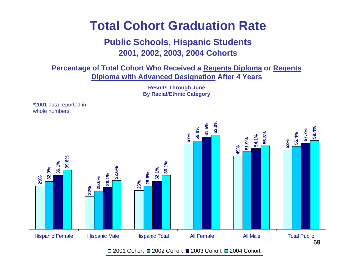#### **Public Schools, Hispanic Students 2001, 2002, 2003, 2004 Cohorts**

**Percentage of Total Cohort Who Received a Regents Diploma or Regents Diploma with Advanced Designation After 4 Years**



**Results Through June**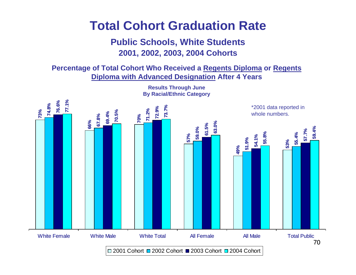#### **Public Schools, White Students 2001, 2002, 2003, 2004 Cohorts**

**Percentage of Total Cohort Who Received a Regents Diploma or Regents Diploma with Advanced Designation After 4 Years**



**Results Through June By Racial/Ethnic Category**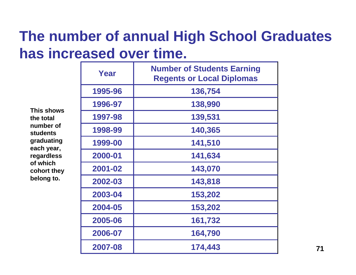## **The number of annual High School Graduates has increased over time.**

| This shows<br>the total<br>number of<br><b>students</b><br>graduating<br>each year,<br>regardless<br>of which<br>cohort they<br>belong to. | Year    | <b>Number of Students Earning</b><br><b>Regents or Local Diplomas</b> |
|--------------------------------------------------------------------------------------------------------------------------------------------|---------|-----------------------------------------------------------------------|
|                                                                                                                                            | 1995-96 | 136,754                                                               |
|                                                                                                                                            | 1996-97 | 138,990                                                               |
|                                                                                                                                            | 1997-98 | 139,531                                                               |
|                                                                                                                                            | 1998-99 | 140,365                                                               |
|                                                                                                                                            | 1999-00 | 141,510                                                               |
|                                                                                                                                            | 2000-01 | 141,634                                                               |
|                                                                                                                                            | 2001-02 | 143,070                                                               |
|                                                                                                                                            | 2002-03 | 143,818                                                               |
|                                                                                                                                            | 2003-04 | 153,202                                                               |
|                                                                                                                                            | 2004-05 | 153,202                                                               |
|                                                                                                                                            | 2005-06 | 161,732                                                               |
|                                                                                                                                            | 2006-07 | 164,790                                                               |
|                                                                                                                                            | 2007-08 | 174,443                                                               |

**71**